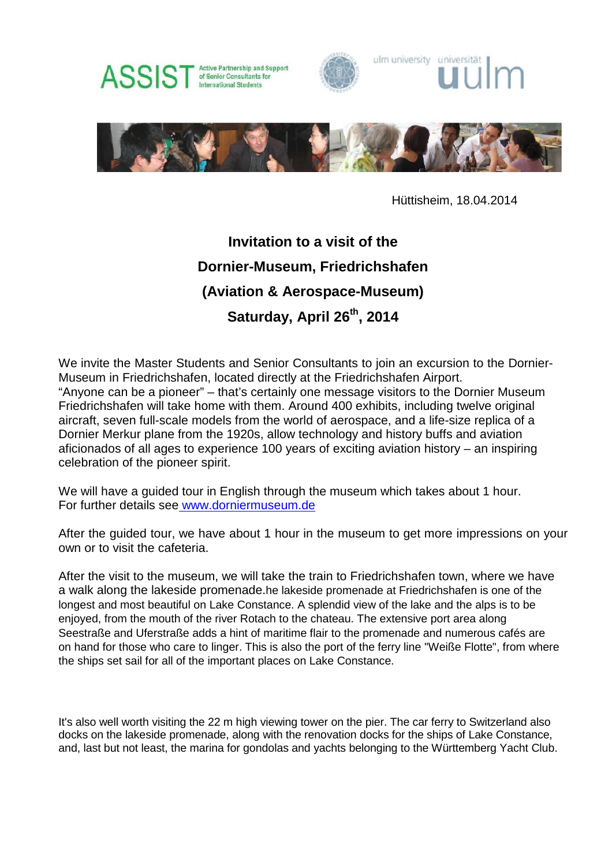

Hüttisheim, 18.04.2014

## **Invitation to a visit of the Dornier-Museum, Friedrichshafen (Aviation & Aerospace-Museum) Saturday, April 26th, 2014**

We invite the Master Students and Senior Consultants to join an excursion to the Dornier-Museum in Friedrichshafen, located directly at the Friedrichshafen Airport. "Anyone can be a pioneer" – that's certainly one message visitors to the Dornier Museum Friedrichshafen will take home with them. Around 400 exhibits, including twelve original aircraft, seven full-scale models from the world of aerospace, and a life-size replica of a Dornier Merkur plane from the 1920s, allow technology and history buffs and aviation aficionados of all ages to experience 100 years of exciting aviation history – an inspiring celebration of the pioneer spirit.

We will have a quided tour in English through the museum which takes about 1 hour. For further details see www.dorniermuseum.de

After the guided tour, we have about 1 hour in the museum to get more impressions on your own or to visit the cafeteria.

After the visit to the museum, we will take the train to Friedrichshafen town, where we have a walk along the lakeside promenade.he lakeside promenade at Friedrichshafen is one of the longest and most beautiful on Lake Constance. A splendid view of the lake and the alps is to be enjoyed, from the mouth of the river Rotach to the chateau. The extensive port area along Seestraße and Uferstraße adds a hint of maritime flair to the promenade and numerous cafés are on hand for those who care to linger. This is also the port of the ferry line "Weiße Flotte", from where the ships set sail for all of the important places on Lake Constance.

It's also well worth visiting the 22 m high viewing tower on the pier. The car ferry to Switzerland also docks on the lakeside promenade, along with the renovation docks for the ships of Lake Constance, and, last but not least, the marina for gondolas and yachts belonging to the Württemberg Yacht Club.